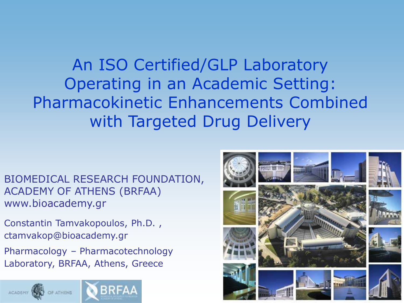An ISO Certified/GLP Laboratory Operating in an Academic Setting: Pharmacokinetic Enhancements Combined with Targeted Drug Delivery

BIOMEDICAL RESEARCH FOUNDATION, ACADEMY OF ATHENS (BRFAA) www.bioacademy.gr

Constantin Tamvakopoulos, Ph.D. , ctamvakop@bioacademy.gr Pharmacology – Pharmacotechnology Laboratory, BRFAA, Athens, Greece



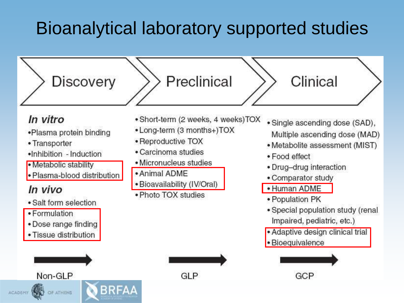# Bioanalytical laboratory supported studies

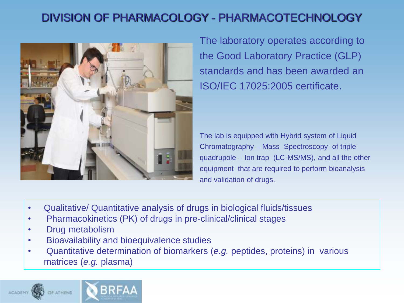## DIVISION OF PHARMACOLOGY - PHARMACOTECHNOLOGY



The laboratory operates according to the Good Laboratory Practice (GLP) standards and has been awarded an ISO/IEC 17025:2005 certificate.

The lab is equipped with Hybrid system of Liquid Chromatography – Mass Spectroscopy of triple quadrupole – Ion trap (LC-MS/MS), and all the other equipment that are required to perform bioanalysis and validation of drugs.

- Qualitative/ Quantitative analysis of drugs in biological fluids/tissues
- Pharmacokinetics (PK) of drugs in pre-clinical/clinical stages
- Drug metabolism
- Bioavailability and bioequivalence studies
- Quantitative determination of biomarkers (*e.g.* peptides, proteins) in various matrices (*e.g.* plasma)

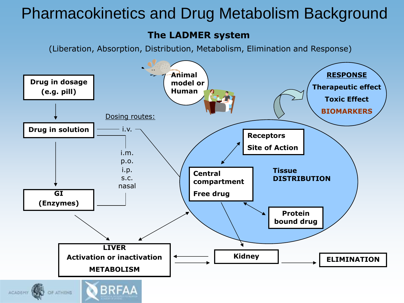## Pharmacokinetics and Drug Metabolism Background

#### **The LADMER system**

(Liberation, Absorption, Distribution, Metabolism, Elimination and Response)

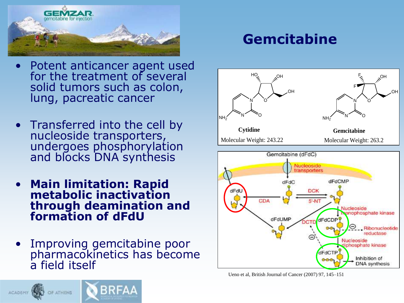

## **Gemcitabine**

- Potent anticancer agent used for the treatment of several solid tumors such as colon, lung, pacreatic cancer
- Transferred into the cell by nucleoside transporters, undergoes phosphorylation and blocks DNA synthesis
- **Main limitation: Rapid metabolic inactivation through deamination and formation of dFdU**
- Improving gemcitabine poor pharmacokinetics has become a field itself



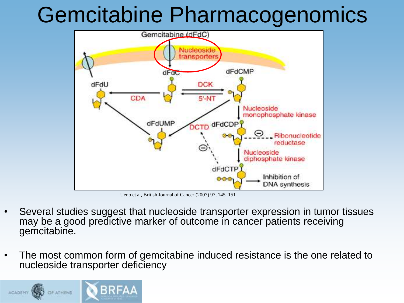# Gemcitabine Pharmacogenomics



Ueno et al, British Journal of Cancer (2007) 97, 145–151

- Several studies suggest that nucleoside transporter expression in tumor tissues may be a good predictive marker of outcome in cancer patients receiving gemcitabine.
- The most common form of gemcitabine induced resistance is the one related to nucleoside transporter deficiency

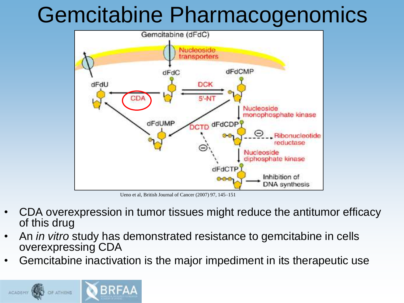# Gemcitabine Pharmacogenomics



Ueno et al, British Journal of Cancer (2007) 97, 145–151

- CDA overexpression in tumor tissues might reduce the antitumor efficacy of this drug
- An *in vitro* study has demonstrated resistance to gemcitabine in cells overexpressing CDA
- Gemcitabine inactivation is the major impediment in its therapeutic use

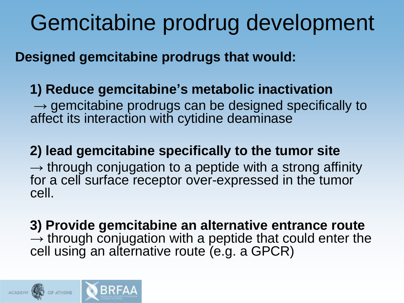# Gemcitabine prodrug development

**Designed gemcitabine prodrugs that would:**

## **1) Reduce gemcitabine's metabolic inactivation**

→ gemcitabine prodrugs can be designed specifically to affect its interaction with cytidine deaminase

## **2) lead gemcitabine specifically to the tumor site**

 $\rightarrow$  through conjugation to a peptide with a strong affinity for a cell surface receptor over-expressed in the tumor cell.

 **3) Provide gemcitabine an alternative entrance route**   $\rightarrow$  through conjugation with a peptide that could enter the cell using an alternative route (e.g. a GPCR)

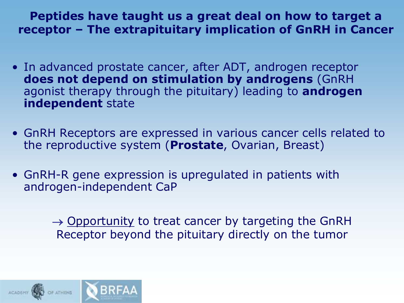**Peptides have taught us a great deal on how to target a receptor – The extrapituitary implication of GnRH in Cancer**

- In advanced prostate cancer, after ADT, androgen receptor **does not depend on stimulation by androgens** (GnRH agonist therapy through the pituitary) leading to **androgen independent** state
- GnRH Receptors are expressed in various cancer cells related to the reproductive system (**Prostate**, Ovarian, Breast)
- GnRH-R gene expression is upregulated in patients with androgen-independent CaP

 $\rightarrow$  Opportunity to treat cancer by targeting the GnRH Receptor beyond the pituitary directly on the tumor

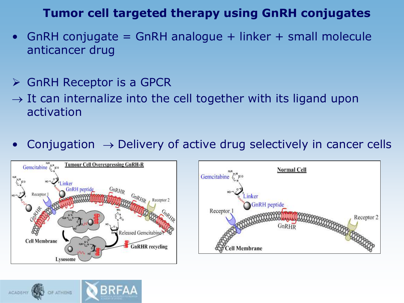## **Tumor cell targeted therapy using GnRH conjugates**

- GnRH conjugate  $=$  GnRH analogue  $+$  linker  $+$  small molecule anticancer drug
- $\triangleright$  GnRH Receptor is a GPCR
- $\rightarrow$  It can internalize into the cell together with its ligand upon activation
- Conjugation  $\rightarrow$  Delivery of active drug selectively in cancer cells





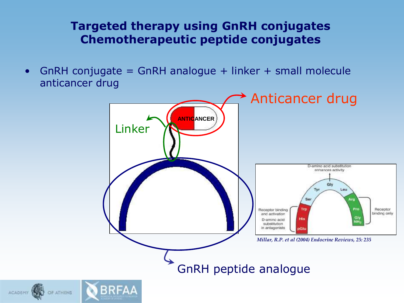## **Targeted therapy using GnRH conjugates Chemotherapeutic peptide conjugates**

• GnRH conjugate = GnRH analogue + linker + small molecule anticancer drug

ACADEMY WALL

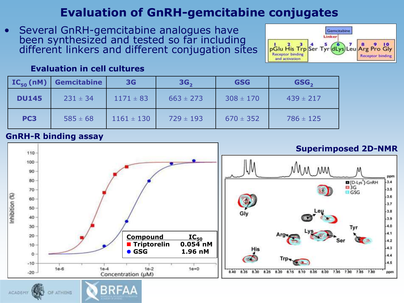## **Evaluation of GnRH-gemcitabine conjugates**

• Several GnRH-gemcitabine analogues have been synthesized and tested so far including different linkers and different conjugation sites

BRFAA



#### **Evaluation in cell cultures**

| $IC_{50}(nM)$   | <b>Gemcitabine</b> | 3 <sub>G</sub> | 3G <sub>2</sub> | <b>GSG</b>    | GSG <sub>2</sub> |
|-----------------|--------------------|----------------|-----------------|---------------|------------------|
| <b>DU145</b>    | $231 \pm 34$       | $1171 \pm 83$  | $663 \pm 273$   | $308 \pm 170$ | $439 \pm 217$    |
| PC <sub>3</sub> | $585 \pm 68$       | $1161 \pm 130$ | $729 \pm 193$   | $670 \pm 352$ | $786 \pm 125$    |

#### **GnRH-R binding assay**

OF ATHENS

ACADEMY W

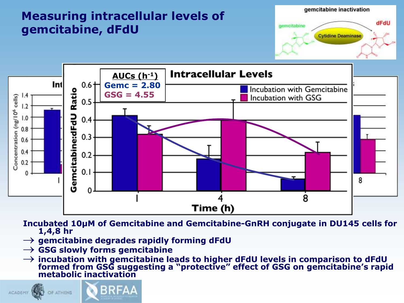## **Measuring intracellular levels of gemcitabine, dFdU**





**Incubated 10μΜ of Gemcitabine and Gemcitabine-GnRH conjugate in DU145 cells for 1,4,8 hr**

- **gemcitabine degrades rapidly forming dFdU**
- **GSG slowly forms gemcitabine**
- **incubation with gemcitabine leads to higher dFdU levels in comparison to dFdU formed from GSG suggesting a "protective" effect of GSG on gemcitabine's rapid metabolic inactivation**

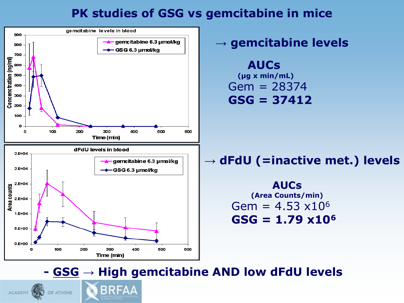### **PK studies of GSG vs gemcitabine in mice**



**→ gemcitabine levels**

 **AUCs (μg x min/mL)** Gem = 28374 **GSG = 37412**

## **→ dFdU (=inactive met.) levels**

**AUCs (Area Counts/min)** Gem =  $4.53 \times 10^6$ **GSG = 1.79 x10<sup>6</sup>**

## **- GSG → High gemcitabine AND low dFdU levels**

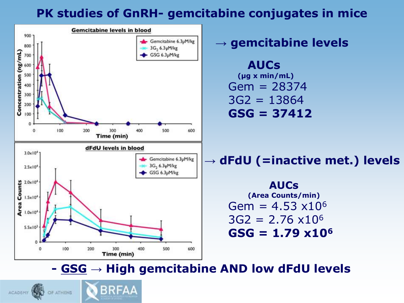## **PK studies of GnRH- gemcitabine conjugates in mice**



**→ gemcitabine levels**

 **AUCs (μg x min/mL)** Gem = 28374  $3G2 = 13864$ **GSG = 37412**

**→ dFdU (=inactive met.) levels**

**AUCs (Area Counts/min)** Gem =  $4.53 \times 10^6$  $3G2 = 2.76 \times 10^6$ **GSG = 1.79 x10<sup>6</sup>**

**- GSG → High gemcitabine AND low dFdU levels**

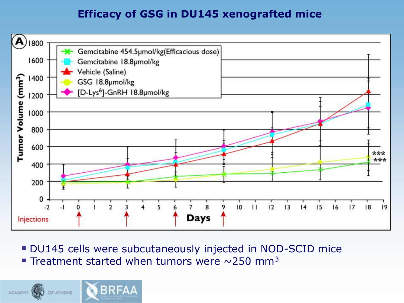### **Efficacy of GSG in DU145 xenografted mice**



- DU145 cells were subcutaneously injected in NOD-SCID mice
- Treatment started when tumors were  $\sim$ 250 mm<sup>3</sup>

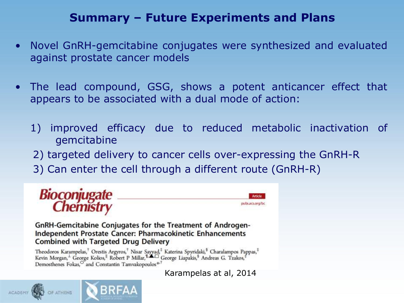## **Summary – Future Experiments and Plans**

- Novel GnRH-gemcitabine conjugates were synthesized and evaluated against prostate cancer models
- The lead compound, GSG, shows a potent anticancer effect that appears to be associated with a dual mode of action:
	- 1) improved efficacy due to reduced metabolic inactivation of gemcitabine
	- 2) targeted delivery to cancer cells over-expressing the GnRH-R
	- 3) Can enter the cell through a different route (GnRH-R)



GnRH-Gemcitabine Conjugates for the Treatment of Androgen-Independent Prostate Cancer: Pharmacokinetic Enhancements **Combined with Targeted Drug Delivery** 

Theodoros Karampelas, † Orestis Argyros, † Nisar Sayyad, † Katerina Spyridaki, § Charalampos Pappas, † Kevin Morgan, † George Kolios, † Robert P Millar, † George Liapakis, § Andreas G. Tzakos, † Demosthenes Fokas,<sup>O</sup> and Constantin Tamvakopoulos<sup>\*3</sup>

Karampelas at al, 2014

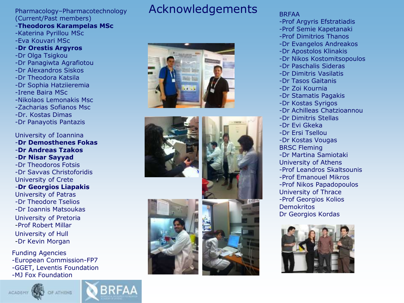## (Current/Past members)

#### -**Theodoros Karampelas MSc** -Katerina Pyrillou MSc -Eva Kouvari MSc -**Dr Orestis Argyros** -Dr Olga Tsigkou -Dr Panagiwta Agrafiotou -Dr Alexandros Siskos -Dr Theodora Katsila -Dr Sophia Hatziieremia

- -Irene Baira MSc
- -Nikolaos Lemonakis Msc
- -Zacharias Sofianos Msc
- -Dr. Kostas Dimas
- -Dr Panayotis Pantazis

University of Ioannina -**Dr Demosthenes Fokas**

- -**Dr Andreas Tzakos**
- -**Dr Nisar Sayyad**

-Dr Theodoros Fotsis -Dr Savvas Christoforidis University of Crete -**Dr Georgios Liapakis** University of Patras

-Dr Theodore Tselios -Dr Ioannis Matsoukas University of Pretoria -Prof Robert Millar University of Hull -Dr Kevin Morgan

Funding Agencies -European Commission-FP7 -GGET, Leventis Foundation -MJ Fox Foundation





## Pharmacology–Pharmacotechnology Acknowledgements









#### BRFAA

- -Prof Argyris Efstratiadis
- -Prof Semie Kapetanaki
- -Prof Dimitrios Thanos
- -Dr Evangelos Andreakos
- -Dr Apostolos Klinakis
- -Dr Nikos Kostomitsopoulos
- -Dr Paschalis Sideras
- -Dr Dimitris Vasilatis
- -Dr Tasos Gaitanis
- -Dr Zoi Kournia
- -Dr Stamatis Pagakis
- -Dr Kostas Syrigos
- -Dr Achilleas Chatzioannou
- -Dr Dimitris Stellas
- -Dr Evi Gkeka
- -Dr Ersi Tsellou
- -Dr Kostas Vougas
- BRSC Fleming
- -Dr Martina Samiotaki
- University of Athens
- -Prof Leandros Skaltsounis -Prof Emanouel Mikros
- -Prof Nikos Papadopoulos University of Thrace -Prof Georgios Kolios Demokritos
- Dr Georgios Kordas